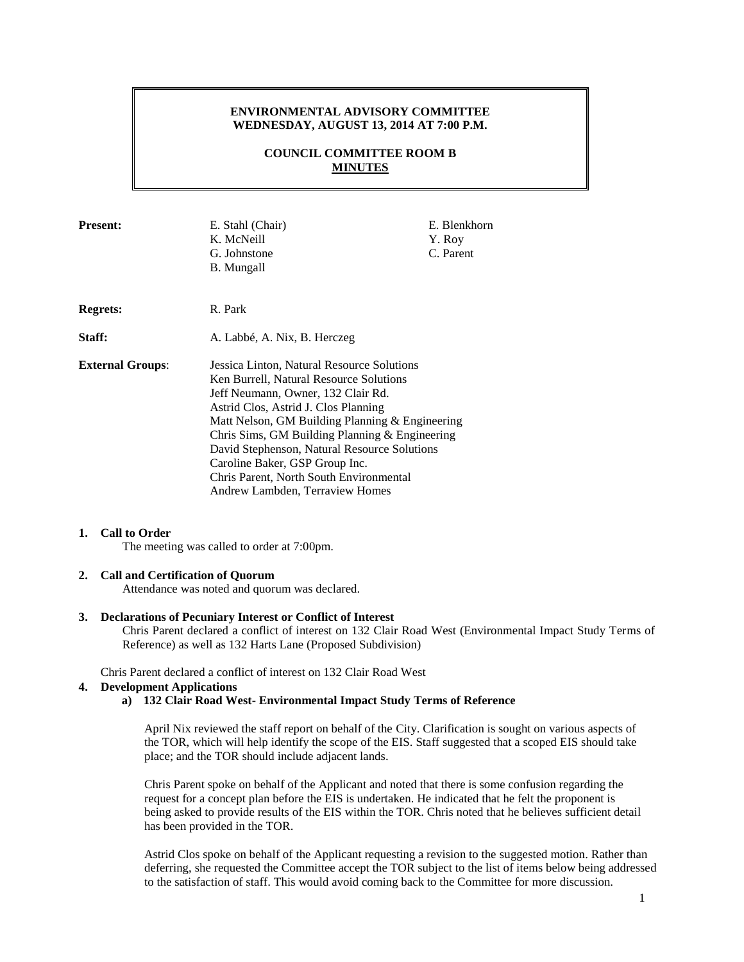## **ENVIRONMENTAL ADVISORY COMMITTEE WEDNESDAY, AUGUST 13, 2014 AT 7:00 P.M.**

## **COUNCIL COMMITTEE ROOM B MINUTES**

| <b>Present:</b>         | E. Stahl (Chair)<br>K. McNeill<br>G. Johnstone<br><b>B.</b> Mungall                                                                                                                                                                                                                                                                                                                                                                      | E. Blenkhorn<br>Y. Roy<br>C. Parent |
|-------------------------|------------------------------------------------------------------------------------------------------------------------------------------------------------------------------------------------------------------------------------------------------------------------------------------------------------------------------------------------------------------------------------------------------------------------------------------|-------------------------------------|
| Regrets:                | R. Park                                                                                                                                                                                                                                                                                                                                                                                                                                  |                                     |
| Staff:                  | A. Labbé, A. Nix, B. Herczeg                                                                                                                                                                                                                                                                                                                                                                                                             |                                     |
| <b>External Groups:</b> | Jessica Linton, Natural Resource Solutions<br>Ken Burrell, Natural Resource Solutions<br>Jeff Neumann, Owner, 132 Clair Rd.<br>Astrid Clos, Astrid J. Clos Planning<br>Matt Nelson, GM Building Planning & Engineering<br>Chris Sims, GM Building Planning & Engineering<br>David Stephenson, Natural Resource Solutions<br>Caroline Baker, GSP Group Inc.<br>Chris Parent, North South Environmental<br>Andrew Lambden, Terraview Homes |                                     |

### **1. Call to Order**

The meeting was called to order at 7:00pm.

## **2. Call and Certification of Quorum**

Attendance was noted and quorum was declared.

## **3. Declarations of Pecuniary Interest or Conflict of Interest**

Chris Parent declared a conflict of interest on 132 Clair Road West (Environmental Impact Study Terms of Reference) as well as 132 Harts Lane (Proposed Subdivision)

Chris Parent declared a conflict of interest on 132 Clair Road West

## **4. Development Applications**

# **a) 132 Clair Road West- Environmental Impact Study Terms of Reference**

April Nix reviewed the staff report on behalf of the City. Clarification is sought on various aspects of the TOR, which will help identify the scope of the EIS. Staff suggested that a scoped EIS should take place; and the TOR should include adjacent lands.

Chris Parent spoke on behalf of the Applicant and noted that there is some confusion regarding the request for a concept plan before the EIS is undertaken. He indicated that he felt the proponent is being asked to provide results of the EIS within the TOR. Chris noted that he believes sufficient detail has been provided in the TOR.

Astrid Clos spoke on behalf of the Applicant requesting a revision to the suggested motion. Rather than deferring, she requested the Committee accept the TOR subject to the list of items below being addressed to the satisfaction of staff. This would avoid coming back to the Committee for more discussion.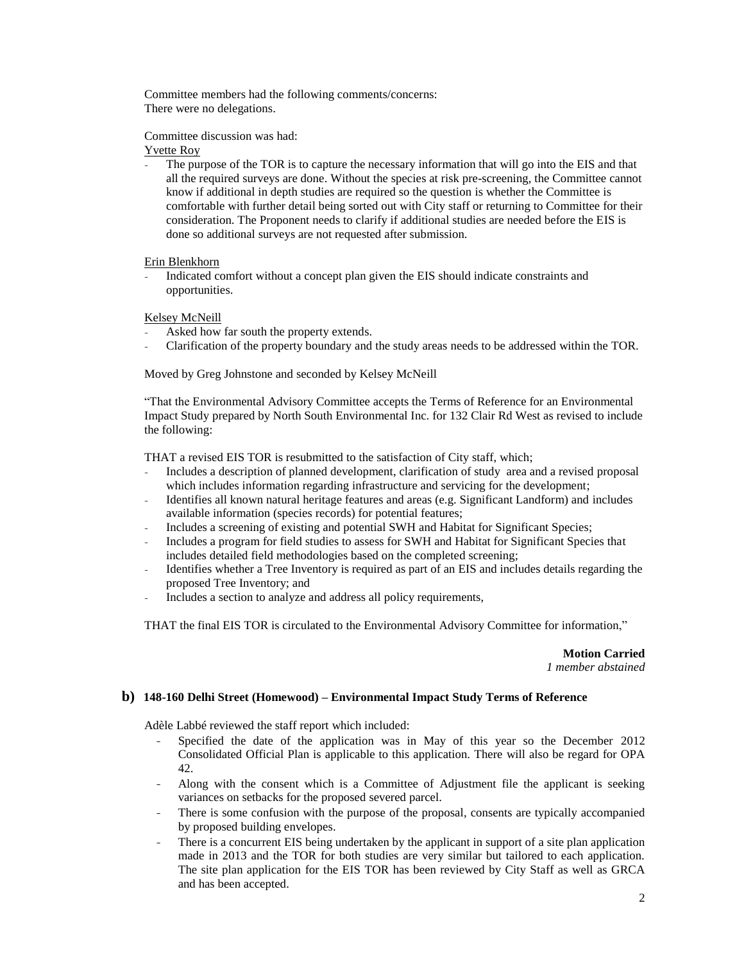Committee members had the following comments/concerns: There were no delegations.

Committee discussion was had:

Yvette Roy

The purpose of the TOR is to capture the necessary information that will go into the EIS and that all the required surveys are done. Without the species at risk pre-screening, the Committee cannot know if additional in depth studies are required so the question is whether the Committee is comfortable with further detail being sorted out with City staff or returning to Committee for their consideration. The Proponent needs to clarify if additional studies are needed before the EIS is done so additional surveys are not requested after submission.

## Erin Blenkhorn

- Indicated comfort without a concept plan given the EIS should indicate constraints and opportunities.

Kelsey McNeill

- Asked how far south the property extends.
- Clarification of the property boundary and the study areas needs to be addressed within the TOR.

Moved by Greg Johnstone and seconded by Kelsey McNeill

"That the Environmental Advisory Committee accepts the Terms of Reference for an Environmental Impact Study prepared by North South Environmental Inc. for 132 Clair Rd West as revised to include the following:

THAT a revised EIS TOR is resubmitted to the satisfaction of City staff, which;

- Includes a description of planned development, clarification of study area and a revised proposal which includes information regarding infrastructure and servicing for the development;
- Identifies all known natural heritage features and areas (e.g. Significant Landform) and includes available information (species records) for potential features;
- Includes a screening of existing and potential SWH and Habitat for Significant Species;
- Includes a program for field studies to assess for SWH and Habitat for Significant Species that includes detailed field methodologies based on the completed screening;
- Identifies whether a Tree Inventory is required as part of an EIS and includes details regarding the proposed Tree Inventory; and
- Includes a section to analyze and address all policy requirements,

THAT the final EIS TOR is circulated to the Environmental Advisory Committee for information,"

**Motion Carried** *1 member abstained*

## **b) 148-160 Delhi Street (Homewood) – Environmental Impact Study Terms of Reference**

Adèle Labbé reviewed the staff report which included:

- Specified the date of the application was in May of this year so the December 2012 Consolidated Official Plan is applicable to this application. There will also be regard for OPA 42.
- Along with the consent which is a Committee of Adjustment file the applicant is seeking variances on setbacks for the proposed severed parcel.
- There is some confusion with the purpose of the proposal, consents are typically accompanied by proposed building envelopes.
- There is a concurrent EIS being undertaken by the applicant in support of a site plan application made in 2013 and the TOR for both studies are very similar but tailored to each application. The site plan application for the EIS TOR has been reviewed by City Staff as well as GRCA and has been accepted.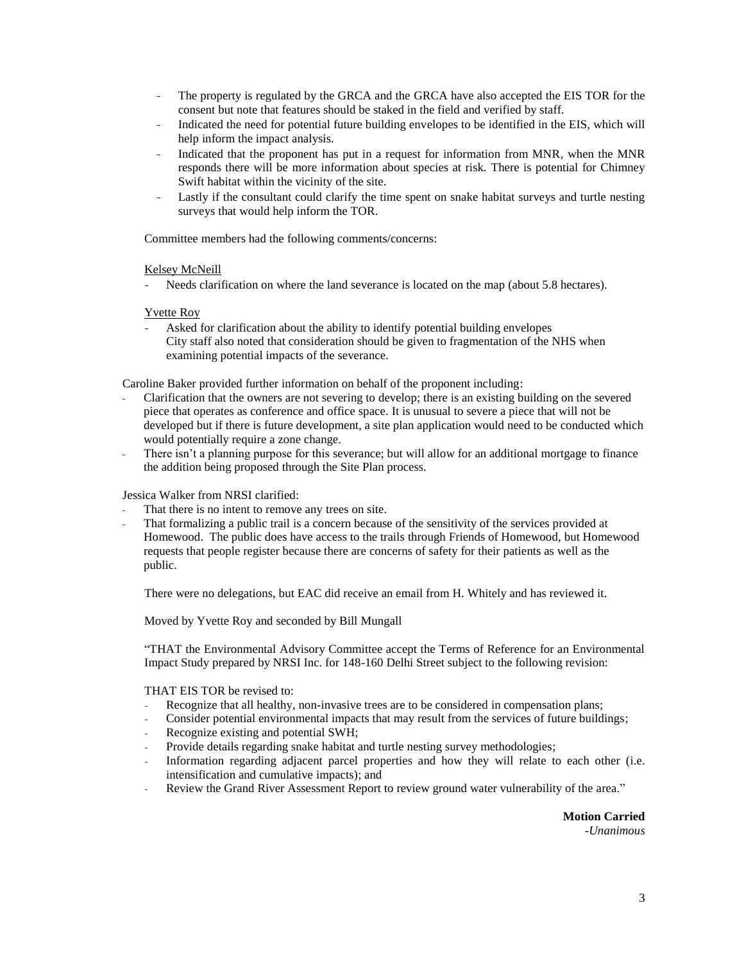- The property is regulated by the GRCA and the GRCA have also accepted the EIS TOR for the consent but note that features should be staked in the field and verified by staff.
- Indicated the need for potential future building envelopes to be identified in the EIS, which will help inform the impact analysis.
- Indicated that the proponent has put in a request for information from MNR, when the MNR responds there will be more information about species at risk. There is potential for Chimney Swift habitat within the vicinity of the site.
- Lastly if the consultant could clarify the time spent on snake habitat surveys and turtle nesting surveys that would help inform the TOR.

Committee members had the following comments/concerns:

## Kelsey McNeill

Needs clarification on where the land severance is located on the map (about 5.8 hectares).

## Yvette Roy

Asked for clarification about the ability to identify potential building envelopes City staff also noted that consideration should be given to fragmentation of the NHS when examining potential impacts of the severance.

Caroline Baker provided further information on behalf of the proponent including:

- Clarification that the owners are not severing to develop; there is an existing building on the severed piece that operates as conference and office space. It is unusual to severe a piece that will not be developed but if there is future development, a site plan application would need to be conducted which would potentially require a zone change.
- There isn't a planning purpose for this severance; but will allow for an additional mortgage to finance the addition being proposed through the Site Plan process.

## Jessica Walker from NRSI clarified:

- That there is no intent to remove any trees on site.
- That formalizing a public trail is a concern because of the sensitivity of the services provided at Homewood. The public does have access to the trails through Friends of Homewood, but Homewood requests that people register because there are concerns of safety for their patients as well as the public.

There were no delegations, but EAC did receive an email from H. Whitely and has reviewed it.

Moved by Yvette Roy and seconded by Bill Mungall

"THAT the Environmental Advisory Committee accept the Terms of Reference for an Environmental Impact Study prepared by NRSI Inc. for 148-160 Delhi Street subject to the following revision:

### THAT EIS TOR be revised to:

- Recognize that all healthy, non-invasive trees are to be considered in compensation plans;
- Consider potential environmental impacts that may result from the services of future buildings;
- Recognize existing and potential SWH;
- Provide details regarding snake habitat and turtle nesting survey methodologies;
- Information regarding adjacent parcel properties and how they will relate to each other (i.e. intensification and cumulative impacts); and
- Review the Grand River Assessment Report to review ground water vulnerability of the area."

**Motion Carried** *-Unanimous*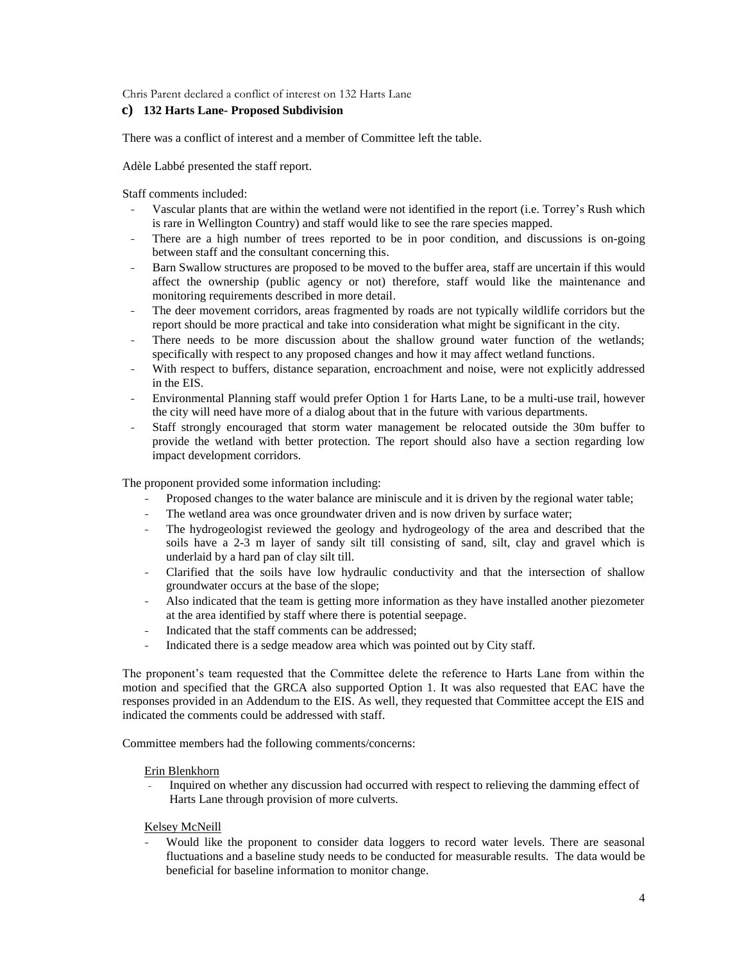Chris Parent declared a conflict of interest on 132 Harts Lane

## **c) 132 Harts Lane- Proposed Subdivision**

There was a conflict of interest and a member of Committee left the table.

Adèle Labbé presented the staff report.

Staff comments included:

- Vascular plants that are within the wetland were not identified in the report (i.e. Torrey's Rush which is rare in Wellington Country) and staff would like to see the rare species mapped.
- There are a high number of trees reported to be in poor condition, and discussions is on-going between staff and the consultant concerning this.
- Barn Swallow structures are proposed to be moved to the buffer area, staff are uncertain if this would affect the ownership (public agency or not) therefore, staff would like the maintenance and monitoring requirements described in more detail.
- The deer movement corridors, areas fragmented by roads are not typically wildlife corridors but the report should be more practical and take into consideration what might be significant in the city.
- There needs to be more discussion about the shallow ground water function of the wetlands; specifically with respect to any proposed changes and how it may affect wetland functions.
- With respect to buffers, distance separation, encroachment and noise, were not explicitly addressed in the EIS.
- Environmental Planning staff would prefer Option 1 for Harts Lane, to be a multi-use trail, however the city will need have more of a dialog about that in the future with various departments.
- Staff strongly encouraged that storm water management be relocated outside the 30m buffer to provide the wetland with better protection. The report should also have a section regarding low impact development corridors.

The proponent provided some information including:

- Proposed changes to the water balance are miniscule and it is driven by the regional water table;
- The wetland area was once groundwater driven and is now driven by surface water;
- The hydrogeologist reviewed the geology and hydrogeology of the area and described that the soils have a 2-3 m layer of sandy silt till consisting of sand, silt, clay and gravel which is underlaid by a hard pan of clay silt till.
- Clarified that the soils have low hydraulic conductivity and that the intersection of shallow groundwater occurs at the base of the slope;
- Also indicated that the team is getting more information as they have installed another piezometer at the area identified by staff where there is potential seepage.
- Indicated that the staff comments can be addressed;
- Indicated there is a sedge meadow area which was pointed out by City staff.

The proponent's team requested that the Committee delete the reference to Harts Lane from within the motion and specified that the GRCA also supported Option 1. It was also requested that EAC have the responses provided in an Addendum to the EIS. As well, they requested that Committee accept the EIS and indicated the comments could be addressed with staff.

Committee members had the following comments/concerns:

### Erin Blenkhorn

- Inquired on whether any discussion had occurred with respect to relieving the damming effect of Harts Lane through provision of more culverts.

## Kelsey McNeill

Would like the proponent to consider data loggers to record water levels. There are seasonal fluctuations and a baseline study needs to be conducted for measurable results. The data would be beneficial for baseline information to monitor change.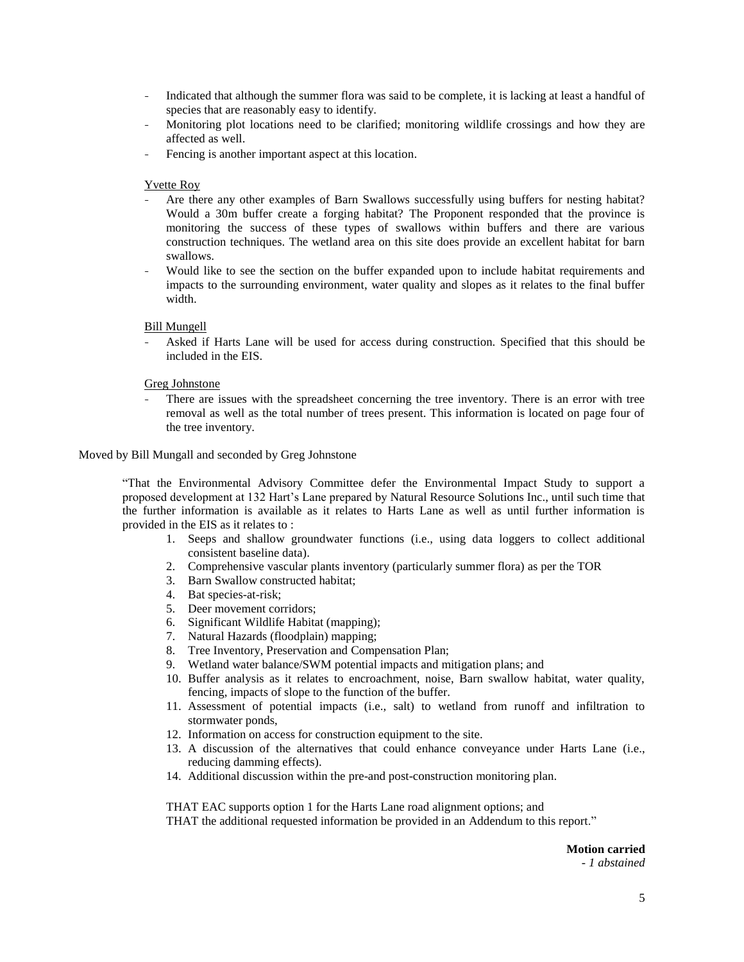- Indicated that although the summer flora was said to be complete, it is lacking at least a handful of species that are reasonably easy to identify.
- Monitoring plot locations need to be clarified; monitoring wildlife crossings and how they are affected as well.
- Fencing is another important aspect at this location.

#### Yvette Roy

- Are there any other examples of Barn Swallows successfully using buffers for nesting habitat? Would a 30m buffer create a forging habitat? The Proponent responded that the province is monitoring the success of these types of swallows within buffers and there are various construction techniques. The wetland area on this site does provide an excellent habitat for barn swallows.
- Would like to see the section on the buffer expanded upon to include habitat requirements and impacts to the surrounding environment, water quality and slopes as it relates to the final buffer width.

## Bill Mungell

- Asked if Harts Lane will be used for access during construction. Specified that this should be included in the EIS.

#### Greg Johnstone

There are issues with the spreadsheet concerning the tree inventory. There is an error with tree removal as well as the total number of trees present. This information is located on page four of the tree inventory.

#### Moved by Bill Mungall and seconded by Greg Johnstone

"That the Environmental Advisory Committee defer the Environmental Impact Study to support a proposed development at 132 Hart's Lane prepared by Natural Resource Solutions Inc., until such time that the further information is available as it relates to Harts Lane as well as until further information is provided in the EIS as it relates to :

- 1. Seeps and shallow groundwater functions (i.e., using data loggers to collect additional consistent baseline data).
- 2. Comprehensive vascular plants inventory (particularly summer flora) as per the TOR
- 3. Barn Swallow constructed habitat;
- 4. Bat species-at-risk;
- 5. Deer movement corridors;
- 6. Significant Wildlife Habitat (mapping);
- 7. Natural Hazards (floodplain) mapping;
- 8. Tree Inventory, Preservation and Compensation Plan;
- 9. Wetland water balance/SWM potential impacts and mitigation plans; and
- 10. Buffer analysis as it relates to encroachment, noise, Barn swallow habitat, water quality, fencing, impacts of slope to the function of the buffer.
- 11. Assessment of potential impacts (i.e., salt) to wetland from runoff and infiltration to stormwater ponds,
- 12. Information on access for construction equipment to the site.
- 13. A discussion of the alternatives that could enhance conveyance under Harts Lane (i.e., reducing damming effects).
- 14. Additional discussion within the pre-and post-construction monitoring plan.

THAT EAC supports option 1 for the Harts Lane road alignment options; and THAT the additional requested information be provided in an Addendum to this report."

> **Motion carried** *- 1 abstained*